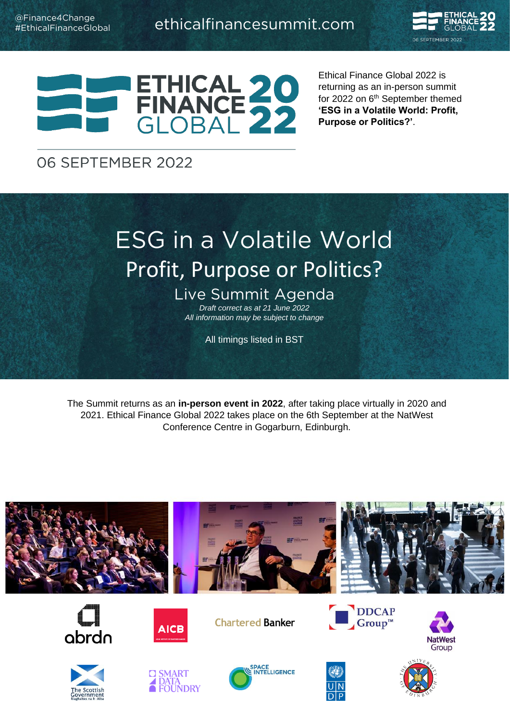



Ethical Finance Global 2022 is returning as an in-person summit for 2022 on 6<sup>th</sup> September themed **'ESG in a Volatile World: Profit, Purpose or Politics?'**.

### 06 SEPTEMBER 2022

# Profit Purnose or Politics? Profit, Purpose or Politics?

Live Summit Agenda *Draft correct as at 21 June 2022 All information may be subject to change*

All timings listed in BST

The Summit returns as an **in-person event in 2022**, after taking place virtually in 2020 and 2021. Ethical Finance Global 2022 takes place on the 6th September at the NatWest Conference Centre in Gogarburn, Edinburgh.